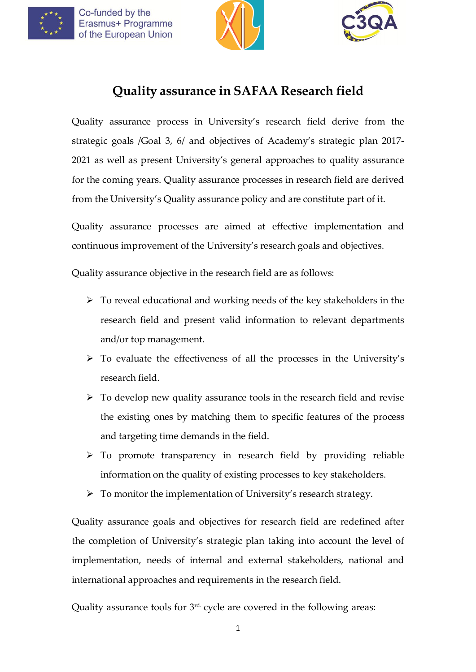Co-funded by the Erasmus+ Programme of the European Union





# **Quality assurance in SAFAA Research field**

Quality assurance process in University's research field derive from the strategic goals /Goal 3, 6/ and objectives of Academy's strategic plan 2017- 2021 as well as present University's general approaches to quality assurance for the coming years. Quality assurance processes in research field are derived from the University's Quality assurance policy and are constitute part of it.

Quality assurance processes are aimed at effective implementation and continuous improvement of the University's research goals and objectives.

Quality assurance objective in the research field are as follows:

- $\triangleright$  To reveal educational and working needs of the key stakeholders in the research field and present valid information to relevant departments and/or top management.
- $\triangleright$  To evaluate the effectiveness of all the processes in the University's research field.
- $\triangleright$  To develop new quality assurance tools in the research field and revise the existing ones by matching them to specific features of the process and targeting time demands in the field.
- To promote transparency in research field by providing reliable information on the quality of existing processes to key stakeholders.
- $\triangleright$  To monitor the implementation of University's research strategy.

Quality assurance goals and objectives for research field are redefined after the completion of University's strategic plan taking into account the level of implementation, needs of internal and external stakeholders, national and international approaches and requirements in the research field.

Quality assurance tools for 3<sup>rd.</sup> cycle are covered in the following areas: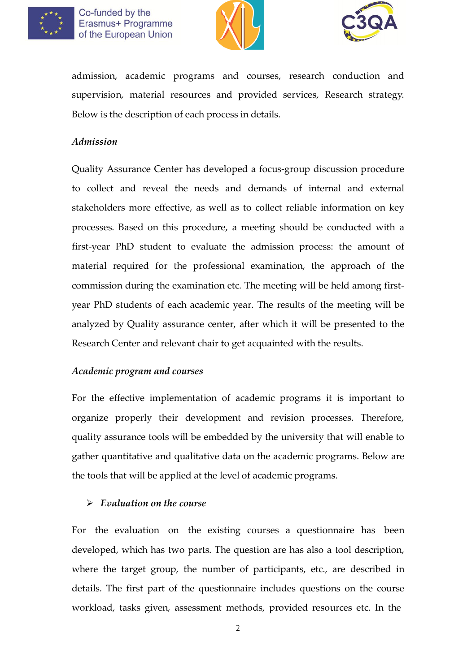





admission, academic programs and courses, research conduction and supervision, material resources and provided services, Research strategy. Below is the description of each process in details.

#### *Admission*

Quality Assurance Center has developed a focus-group discussion procedure to collect and reveal the needs and demands of internal and external stakeholders more effective, as well as to collect reliable information on key processes. Based on this procedure, a meeting should be conducted with a first-year PhD student to evaluate the admission process: the amount of material required for the professional examination, the approach of the commission during the examination etc. The meeting will be held among firstyear PhD students of each academic year. The results of the meeting will be analyzed by Quality assurance center, after which it will be presented to the Research Center and relevant chair to get acquainted with the results.

#### *Academic program and courses*

For the effective implementation of academic programs it is important to organize properly their development and revision processes. Therefore, quality assurance tools will be embedded by the university that will enable to gather quantitative and qualitative data on the academic programs. Below are the tools that will be applied at the level of academic programs.

## *Evaluation on the course*

For the evaluation on the existing courses a questionnaire has been developed, which has two parts. The question are has also a tool description, where the target group, the number of participants, etc., are described in details. The first part of the questionnaire includes questions on the course workload, tasks given, assessment methods, provided resources etc. In the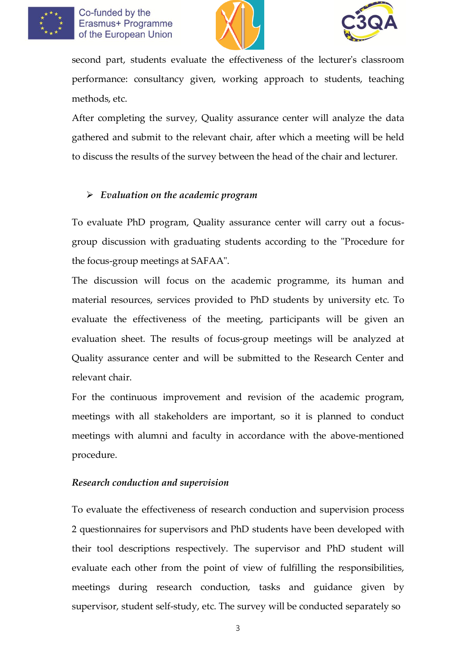





second part, students evaluate the effectiveness of the lecturer's classroom performance: consultancy given, working approach to students, teaching methods, etc.

After completing the survey, Quality assurance center will analyze the data gathered and submit to the relevant chair, after which a meeting will be held to discuss the results of the survey between the head of the chair and lecturer.

## *Evaluation on the academic program*

To evaluate PhD program, Quality assurance center will carry out a focusgroup discussion with graduating students according to the "Procedure for the focus-group meetings at SAFAA".

The discussion will focus on the academic programme, its human and material resources, services provided to PhD students by university etc. To evaluate the effectiveness of the meeting, participants will be given an evaluation sheet. The results of focus-group meetings will be analyzed at Quality assurance center and will be submitted to the Research Center and relevant chair.

For the continuous improvement and revision of the academic program, meetings with all stakeholders are important, so it is planned to conduct meetings with alumni and faculty in accordance with the above-mentioned procedure.

## *Research conduction and supervision*

To evaluate the effectiveness of research conduction and supervision process 2 questionnaires for supervisors and PhD students have been developed with their tool descriptions respectively. The supervisor and PhD student will evaluate each other from the point of view of fulfilling the responsibilities, meetings during research conduction, tasks and guidance given by supervisor, student self-study, etc. The survey will be conducted separately so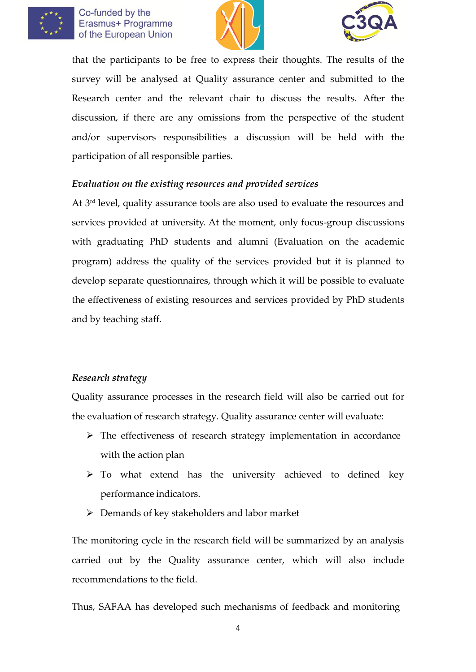





that the participants to be free to express their thoughts. The results of the survey will be analysed at Quality assurance center and submitted to the Research center and the relevant chair to discuss the results. After the discussion, if there are any omissions from the perspective of the student and/or supervisors responsibilities a discussion will be held with the participation of all responsible parties.

### *Evaluation on the existing resources and provided services*

At 3 rd level, quality assurance tools are also used to evaluate the resources and services provided at university. At the moment, only focus-group discussions with graduating PhD students and alumni (Evaluation on the academic program) address the quality of the services provided but it is planned to develop separate questionnaires, through which it will be possible to evaluate the effectiveness of existing resources and services provided by PhD students and by teaching staff.

#### *Research strategy*

Quality assurance processes in the research field will also be carried out for the evaluation of research strategy. Quality assurance center will evaluate:

- $\triangleright$  The effectiveness of research strategy implementation in accordance with the action plan
- $\triangleright$  To what extend has the university achieved to defined key performance indicators.
- Demands of key stakeholders and labor market

The monitoring cycle in the research field will be summarized by an analysis carried out by the Quality assurance center, which will also include recommendations to the field.

Thus, SAFAA has developed such mechanisms of feedback and monitoring